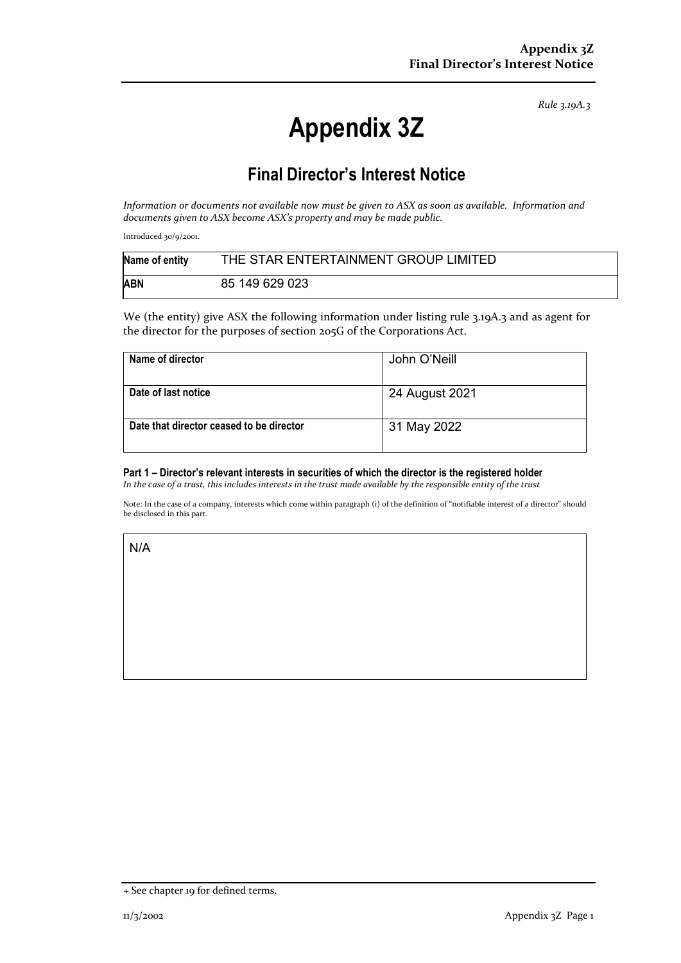*Rule 3.19A.3*

# **Appendix 3Z**

## **Final Director's Interest Notice**

*Information or documents not available now must be given to ASX as soon as available. Information and documents given to ASX become ASX's property and may be made public.*

Introduced 30/9/2001.

| Name of entity | THE STAR ENTERTAINMENT GROUP LIMITED |
|----------------|--------------------------------------|
| <b>ABN</b>     | 85 149 629 023                       |

We (the entity) give ASX the following information under listing rule 3.19A.3 and as agent for the director for the purposes of section 205G of the Corporations Act.

| Name of director                         | John O'Neill   |
|------------------------------------------|----------------|
| Date of last notice                      | 24 August 2021 |
| Date that director ceased to be director | 31 May 2022    |

#### **Part 1 – Director's relevant interests in securities of which the director is the registered holder**

*In the case of a trust, this includes interests in the trust made available by the responsible entity of the trust*

Note: In the case of a company, interests which come within paragraph (i) of the definition of "notifiable interest of a director" should be disclosed in this part.

N/A

<sup>+</sup> See chapter 19 for defined terms.